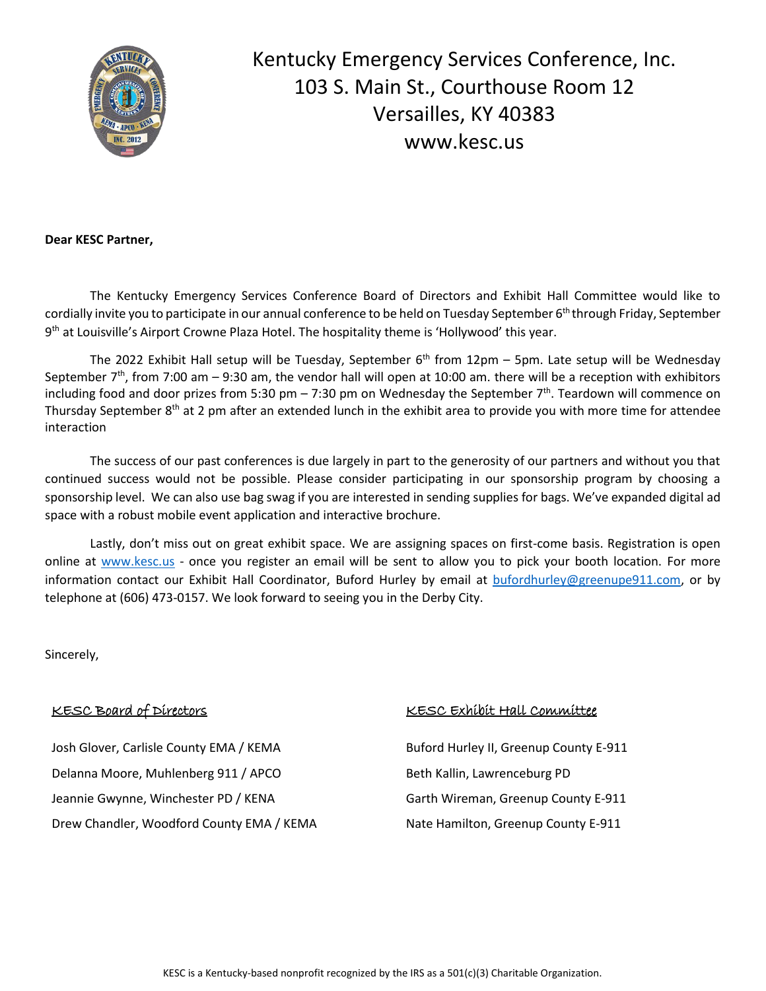

Kentucky Emergency Services Conference, Inc. 103 S. Main St., Courthouse Room 12 Versailles, KY 40383 www.kesc.us

**Dear KESC Partner,**

The Kentucky Emergency Services Conference Board of Directors and Exhibit Hall Committee would like to cordially invite you to participate in our annual conference to be held on Tuesday September 6<sup>th</sup> through Friday, September 9<sup>th</sup> at Louisville's Airport Crowne Plaza Hotel. The hospitality theme is 'Hollywood' this year.

The 2022 Exhibit Hall setup will be Tuesday, September 6<sup>th</sup> from 12pm – 5pm. Late setup will be Wednesday September  $7<sup>th</sup>$ , from 7:00 am – 9:30 am, the vendor hall will open at 10:00 am. there will be a reception with exhibitors including food and door prizes from 5:30 pm – 7:30 pm on Wednesday the September 7<sup>th</sup>. Teardown will commence on Thursday September 8<sup>th</sup> at 2 pm after an extended lunch in the exhibit area to provide you with more time for attendee interaction

The success of our past conferences is due largely in part to the generosity of our partners and without you that continued success would not be possible. Please consider participating in our sponsorship program by choosing a sponsorship level. We can also use bag swag if you are interested in sending supplies for bags. We've expanded digital ad space with a robust mobile event application and interactive brochure.

Lastly, don't miss out on great exhibit space. We are assigning spaces on first-come basis. Registration is open online at [www.kesc.us](http://www.kesc.us/) - once you register an email will be sent to allow you to pick your booth location. For more information contact our Exhibit Hall Coordinator, Buford Hurley by email at [bufordhurley@greenupe911.com,](mailto:bufordhurley@greenupe911.com) or by telephone at (606) 473-0157. We look forward to seeing you in the Derby City.

Sincerely,

# KESC Board of Directors

Josh Glover, Carlisle County EMA / KEMA Buford Hurley II, Greenup County E-911 Delanna Moore, Muhlenberg 911 / APCO Beth Kallin, Lawrenceburg PD Jeannie Gwynne, Winchester PD / KENA Garth Wireman, Greenup County E-911 Drew Chandler, Woodford County EMA / KEMA Nate Hamilton, Greenup County E-911

# KESC Exhibit Hall Committee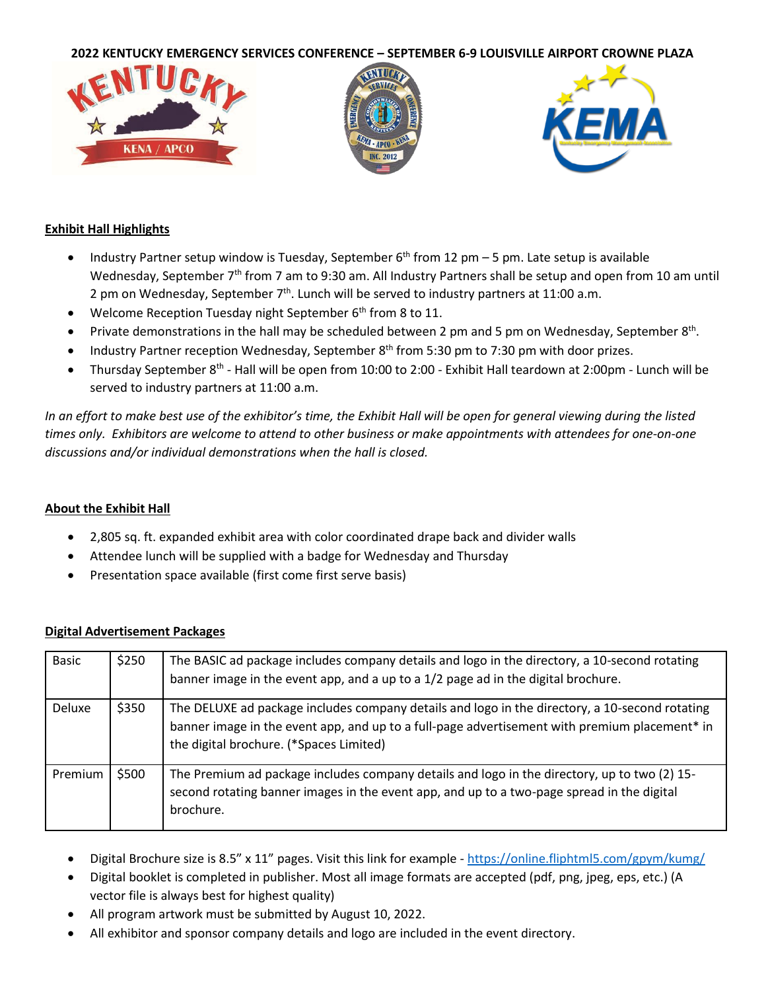

# **Exhibit Hall Highlights**

- Industry Partner setup window is Tuesday, September  $6<sup>th</sup>$  from 12 pm 5 pm. Late setup is available Wednesday, September 7<sup>th</sup> from 7 am to 9:30 am. All Industry Partners shall be setup and open from 10 am until 2 pm on Wednesday, September 7<sup>th</sup>. Lunch will be served to industry partners at 11:00 a.m.
- Welcome Reception Tuesday night September 6<sup>th</sup> from 8 to 11.
- Private demonstrations in the hall may be scheduled between 2 pm and 5 pm on Wednesday, September 8<sup>th</sup>.
- Industry Partner reception Wednesday, September  $8<sup>th</sup>$  from 5:30 pm to 7:30 pm with door prizes.
- Thursday September 8<sup>th</sup> Hall will be open from 10:00 to 2:00 Exhibit Hall teardown at 2:00pm Lunch will be served to industry partners at 11:00 a.m.

*In an effort to make best use of the exhibitor's time, the Exhibit Hall will be open for general viewing during the listed times only. Exhibitors are welcome to attend to other business or make appointments with attendees for one-on-one discussions and/or individual demonstrations when the hall is closed.*

# **About the Exhibit Hall**

- 2,805 sq. ft. expanded exhibit area with color coordinated drape back and divider walls
- Attendee lunch will be supplied with a badge for Wednesday and Thursday
- Presentation space available (first come first serve basis)

| <b>Basic</b>  | \$250 | The BASIC ad package includes company details and logo in the directory, a 10-second rotating<br>banner image in the event app, and a up to a 1/2 page ad in the digital brochure.                                                         |
|---------------|-------|--------------------------------------------------------------------------------------------------------------------------------------------------------------------------------------------------------------------------------------------|
| <b>Deluxe</b> | \$350 | The DELUXE ad package includes company details and logo in the directory, a 10-second rotating<br>banner image in the event app, and up to a full-page advertisement with premium placement* in<br>the digital brochure. (*Spaces Limited) |
| Premium       | \$500 | The Premium ad package includes company details and logo in the directory, up to two (2) 15-<br>second rotating banner images in the event app, and up to a two-page spread in the digital<br>brochure.                                    |

# **Digital Advertisement Packages**

- Digital Brochure size is 8.5" x 11" pages. Visit this link for example <https://online.fliphtml5.com/gpym/kumg/>
- Digital booklet is completed in publisher. Most all image formats are accepted (pdf, png, jpeg, eps, etc.) (A vector file is always best for highest quality)
- All program artwork must be submitted by August 10, 2022.
- All exhibitor and sponsor company details and logo are included in the event directory.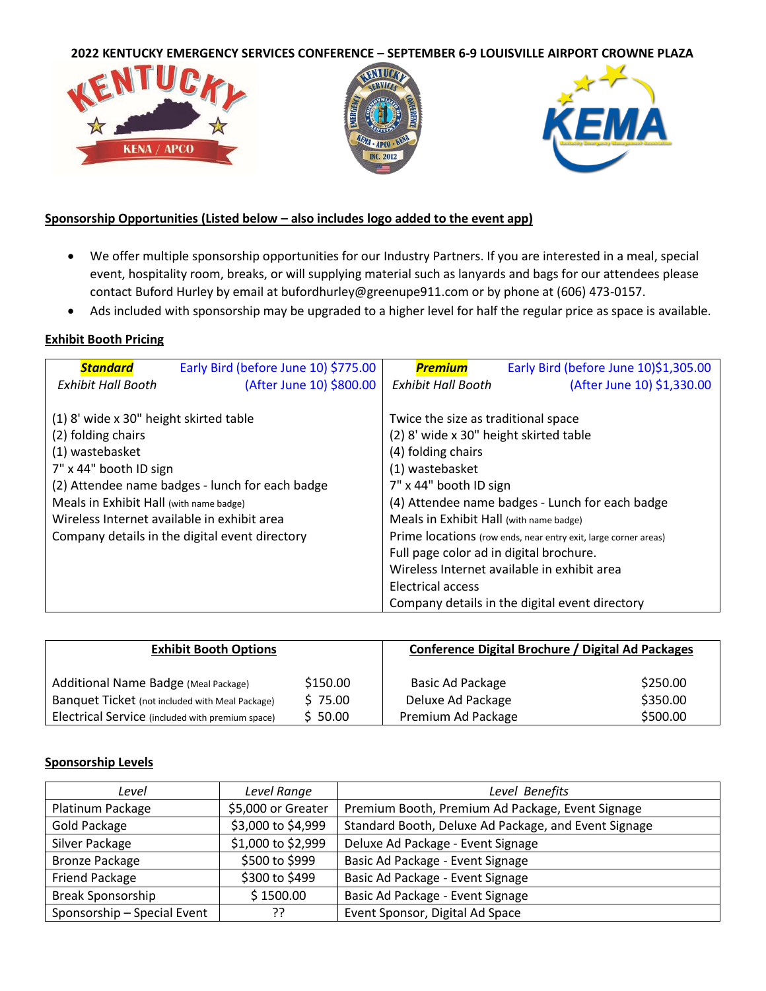

# **Sponsorship Opportunities (Listed below – also includes logo added to the event app)**

- We offer multiple sponsorship opportunities for our Industry Partners. If you are interested in a meal, special event, hospitality room, breaks, or will supplying material such as lanyards and bags for our attendees please contact Buford Hurley by email at bufordhurley@greenupe911.com or by phone at (606) 473-0157.
- Ads included with sponsorship may be upgraded to a higher level for half the regular price as space is available.

### **Exhibit Booth Pricing**

| <b>Standard</b>                                                                                                                                                                                     | Early Bird (before June 10) \$775.00                                                              | <b>Premium</b>                                                                                                                                                                                                                         | Early Bird (before June 10)\$1,305.00                                                                                                                             |
|-----------------------------------------------------------------------------------------------------------------------------------------------------------------------------------------------------|---------------------------------------------------------------------------------------------------|----------------------------------------------------------------------------------------------------------------------------------------------------------------------------------------------------------------------------------------|-------------------------------------------------------------------------------------------------------------------------------------------------------------------|
| <b>Exhibit Hall Booth</b>                                                                                                                                                                           | (After June 10) \$800.00                                                                          | <b>Exhibit Hall Booth</b>                                                                                                                                                                                                              | (After June 10) \$1,330.00                                                                                                                                        |
| (1) 8' wide x 30" height skirted table<br>(2) folding chairs<br>(1) wastebasket<br>7" x 44" booth ID sign<br>Meals in Exhibit Hall (with name badge)<br>Wireless Internet available in exhibit area | (2) Attendee name badges - lunch for each badge<br>Company details in the digital event directory | Twice the size as traditional space<br>(2) 8' wide x 30" height skirted table<br>(4) folding chairs<br>(1) wastebasket<br>7" x 44" booth ID sign<br>Meals in Exhibit Hall (with name badge)<br>Full page color ad in digital brochure. | (4) Attendee name badges - Lunch for each badge<br>Prime locations (row ends, near entry exit, large corner areas)<br>Wireless Internet available in exhibit area |
|                                                                                                                                                                                                     |                                                                                                   | Electrical access                                                                                                                                                                                                                      | Company details in the digital event directory                                                                                                                    |

| <b>Exhibit Booth Options</b>                     |          | Conference Digital Brochure / Digital Ad Packages |          |  |
|--------------------------------------------------|----------|---------------------------------------------------|----------|--|
| Additional Name Badge (Meal Package)             | \$150.00 | Basic Ad Package                                  | \$250.00 |  |
| Banquet Ticket (not included with Meal Package)  | \$75.00  | Deluxe Ad Package                                 | \$350.00 |  |
| Electrical Service (included with premium space) | \$50.00  | Premium Ad Package                                | \$500.00 |  |

#### **Sponsorship Levels**

| Level                       | Level Range        | Level Benefits                                       |
|-----------------------------|--------------------|------------------------------------------------------|
| Platinum Package            | \$5,000 or Greater | Premium Booth, Premium Ad Package, Event Signage     |
| Gold Package                | \$3,000 to \$4,999 | Standard Booth, Deluxe Ad Package, and Event Signage |
| Silver Package              | \$1,000 to \$2,999 | Deluxe Ad Package - Event Signage                    |
| <b>Bronze Package</b>       | \$500 to \$999     | Basic Ad Package - Event Signage                     |
| <b>Friend Package</b>       | \$300 to \$499     | Basic Ad Package - Event Signage                     |
| <b>Break Sponsorship</b>    | \$1500.00          | Basic Ad Package - Event Signage                     |
| Sponsorship - Special Event | ??                 | Event Sponsor, Digital Ad Space                      |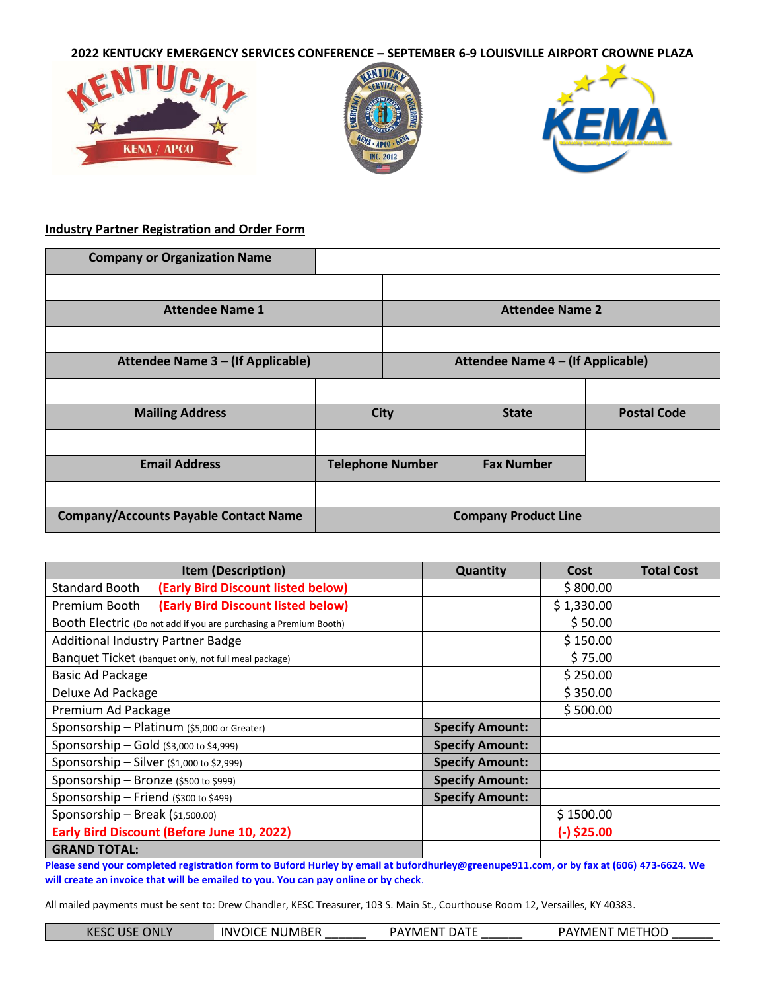

# **Industry Partner Registration and Order Form**

| <b>Company or Organization Name</b>          |                             |                                   |                   |                    |
|----------------------------------------------|-----------------------------|-----------------------------------|-------------------|--------------------|
|                                              |                             |                                   |                   |                    |
| <b>Attendee Name 1</b>                       | <b>Attendee Name 2</b>      |                                   |                   |                    |
|                                              |                             |                                   |                   |                    |
| Attendee Name 3 - (If Applicable)            |                             | Attendee Name 4 - (If Applicable) |                   |                    |
|                                              |                             |                                   |                   |                    |
| <b>Mailing Address</b>                       | <b>City</b>                 |                                   | <b>State</b>      | <b>Postal Code</b> |
|                                              |                             |                                   |                   |                    |
| <b>Email Address</b>                         | <b>Telephone Number</b>     |                                   | <b>Fax Number</b> |                    |
|                                              |                             |                                   |                   |                    |
| <b>Company/Accounts Payable Contact Name</b> | <b>Company Product Line</b> |                                   |                   |                    |

| <b>Item (Description)</b>                                         | <b>Quantity</b>        | Cost          | <b>Total Cost</b> |
|-------------------------------------------------------------------|------------------------|---------------|-------------------|
| (Early Bird Discount listed below)<br>Standard Booth              |                        | \$800.00      |                   |
| (Early Bird Discount listed below)<br>Premium Booth               |                        | \$1,330.00    |                   |
| Booth Electric (Do not add if you are purchasing a Premium Booth) |                        | \$50.00       |                   |
| Additional Industry Partner Badge                                 |                        | \$150.00      |                   |
| Banquet Ticket (banquet only, not full meal package)              |                        | \$75.00       |                   |
| Basic Ad Package                                                  |                        | \$250.00      |                   |
| Deluxe Ad Package                                                 |                        | \$350.00      |                   |
| Premium Ad Package                                                |                        | \$500.00      |                   |
| Sponsorship - Platinum (\$5,000 or Greater)                       | <b>Specify Amount:</b> |               |                   |
| Sponsorship - Gold (\$3,000 to \$4,999)                           | <b>Specify Amount:</b> |               |                   |
| Sponsorship - Silver (\$1,000 to \$2,999)                         | <b>Specify Amount:</b> |               |                   |
| Sponsorship - Bronze (\$500 to \$999)                             | <b>Specify Amount:</b> |               |                   |
| Sponsorship - Friend (\$300 to \$499)                             | <b>Specify Amount:</b> |               |                   |
| Sponsorship - Break (\$1,500.00)                                  |                        | \$1500.00     |                   |
| <b>Early Bird Discount (Before June 10, 2022)</b>                 |                        | $(-)$ \$25.00 |                   |
| <b>GRAND TOTAL:</b>                                               |                        |               |                   |

**Please send your completed registration form to Buford Hurley by email at bufordhurley@greenupe911.com, or by fax at (606) 473-6624. We will create an invoice that will be emailed to you. You can pay online or by check**.

All mailed payments must be sent to: Drew Chandler, KESC Treasurer, 103 S. Main St., Courthouse Room 12, Versailles, KY 40383.

| <b>KESC USE ONLY</b> | <b>INVOICE NUMBER</b> | <b>PAYMENT DATE</b> | PAYMENT METHOD |
|----------------------|-----------------------|---------------------|----------------|
|                      |                       |                     |                |